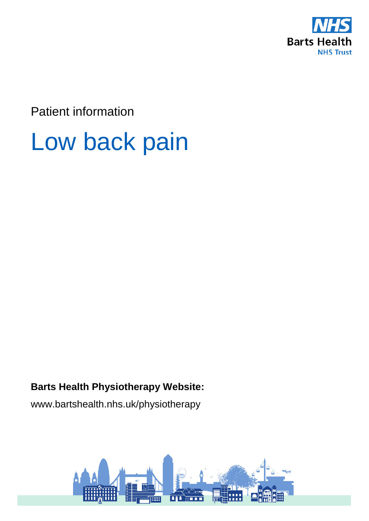

Patient information

# Low back pain

### **Barts Health Physiotherapy Website:**

www.bartshealth.nhs.uk/physiotherapy

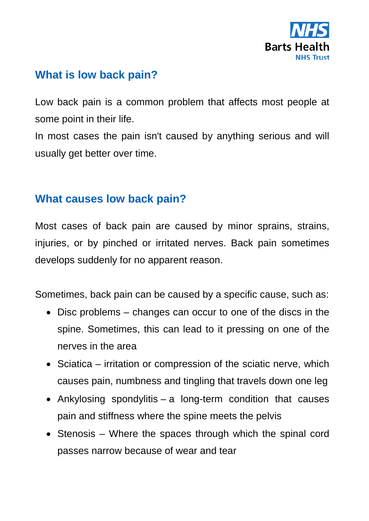

### **What is low back pain?**

Low back pain is a common problem that affects most people at some point in their life.

In most cases the pain isn't caused by anything serious and will usually get better over time.

### **What causes low back pain?**

Most cases of back pain are caused by minor sprains, strains, injuries, or by pinched or irritated nerves. Back pain sometimes develops suddenly for no apparent reason.

Sometimes, back pain can be caused by a specific cause, such as:

- Disc problems changes can occur to one of the discs in the spine. Sometimes, this can lead to it pressing on one of the nerves in the area
- Sciatica irritation or compression of the sciatic nerve, which causes pain, numbness and tingling that travels down one leg
- Ankylosing spondylitis a long-term condition that causes pain and stiffness where the spine meets the pelvis
- Stenosis Where the spaces through which the spinal cord passes narrow because of wear and tear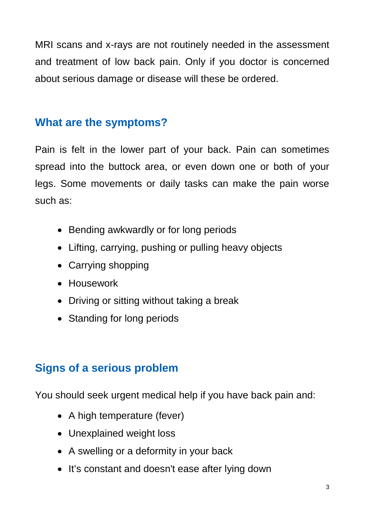MRI scans and x-rays are not routinely needed in the assessment and treatment of low back pain. Only if you doctor is concerned about serious damage or disease will these be ordered.

### **What are the symptoms?**

Pain is felt in the lower part of your back. Pain can sometimes spread into the buttock area, or even down one or both of your legs. Some movements or daily tasks can make the pain worse such as:

- Bending awkwardly or for long periods
- Lifting, carrying, pushing or pulling heavy objects
- Carrying shopping
- Housework
- Driving or sitting without taking a break
- Standing for long periods

# **Signs of a serious problem**

You should seek urgent medical help if you have back pain and:

- A high temperature (fever)
- Unexplained weight loss
- A swelling or a deformity in your back
- It's constant and doesn't ease after lying down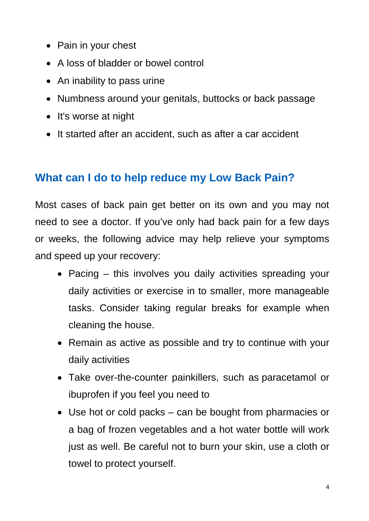- Pain in your chest
- A loss of bladder or bowel control
- An inability to pass urine
- Numbness around your genitals, buttocks or back passage
- It's worse at night
- It started after an accident, such as after a car accident

## **What can I do to help reduce my Low Back Pain?**

Most cases of back pain get better on its own and you may not need to see a doctor. If you've only had back pain for a few days or weeks, the following advice may help relieve your symptoms and speed up your recovery:

- Pacing this involves you daily activities spreading your daily activities or exercise in to smaller, more manageable tasks. Consider taking regular breaks for example when cleaning the house.
- Remain as active as possible and try to continue with your daily activities
- Take over-the-counter painkillers, such as paracetamol or ibuprofen if you feel you need to
- Use hot or cold packs can be bought from pharmacies or a bag of frozen vegetables and a hot water bottle will work just as well. Be careful not to burn your skin, use a cloth or towel to protect yourself.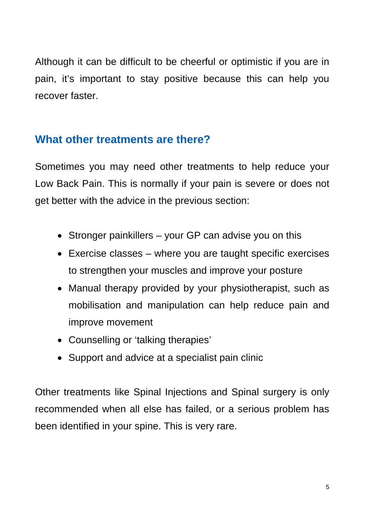Although it can be difficult to be cheerful or optimistic if you are in pain, it's important to stay positive because this can help you recover faster.

### **What other treatments are there?**

Sometimes you may need other treatments to help reduce your Low Back Pain. This is normally if your pain is severe or does not get better with the advice in the previous section:

- Stronger painkillers your GP can advise you on this
- Exercise classes where you are taught specific exercises to strengthen your muscles and improve your posture
- Manual therapy provided by your physiotherapist, such as mobilisation and manipulation can help reduce pain and improve movement
- Counselling or 'talking therapies'
- Support and advice at a specialist pain clinic

Other treatments like Spinal Injections and Spinal surgery is only recommended when all else has failed, or a serious problem has been identified in your spine. This is very rare.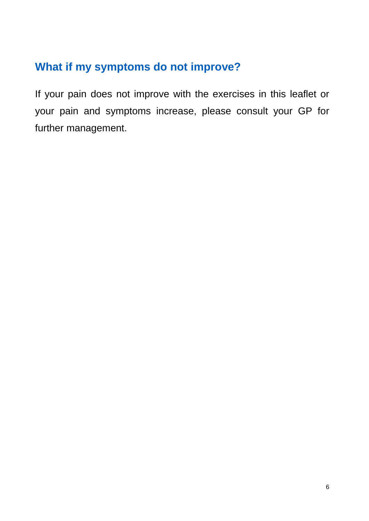# **What if my symptoms do not improve?**

If your pain does not improve with the exercises in this leaflet or your pain and symptoms increase, please consult your GP for further management.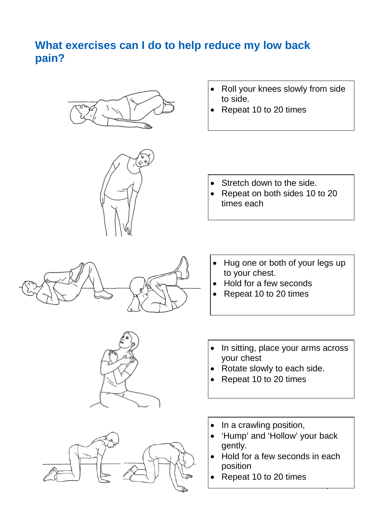### **What exercises can I do to help reduce my low back pain?**





- Roll your knees slowly from side to side.
- Repeat 10 to 20 times

- Stretch down to the side.
- Repeat on both sides 10 to 20 times each







- Hug one or both of your legs up to your chest.
- Hold for a few seconds
- Repeat 10 to 20 times
- In sitting, place your arms across your chest
- Rotate slowly to each side.
- Repeat 10 to 20 times
- In a crawling position,
- 'Hump' and 'Hollow' your back gently.
- Hold for a few seconds in each position

7

• Repeat 10 to 20 times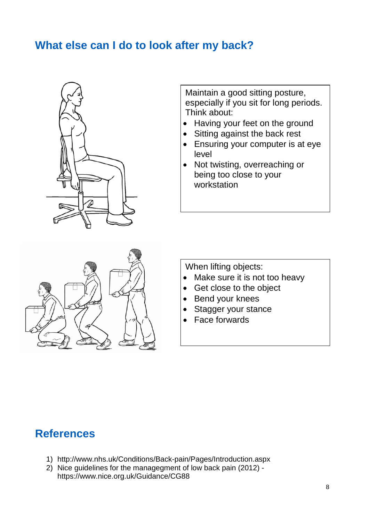### **What else can I do to look after my back?**



Maintain a good sitting posture, especially if you sit for long periods. Think about:

- Having your feet on the ground
- Sitting against the back rest
- Ensuring your computer is at eye level
- Not twisting, overreaching or being too close to your workstation



When lifting objects:

- Make sure it is not too heavy
- Get close to the object
- Bend your knees
- Stagger your stance
- Face forwards

### **References**

- 1) <http://www.nhs.uk/Conditions/Back-pain/Pages/Introduction.aspx>
- 2) Nice guidelines for the managegment of low back pain (2012) <https://www.nice.org.uk/Guidance/CG88>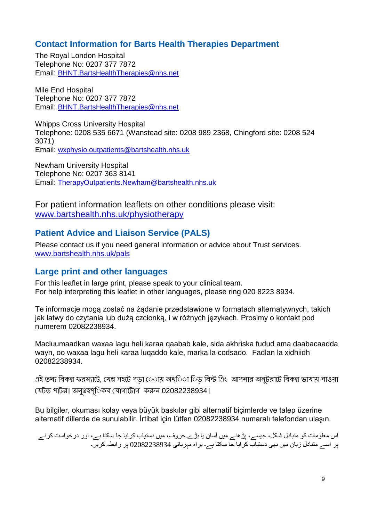#### **Contact Information for Barts Health Therapies Department**

The Royal London Hospital Telephone No: 0207 377 7872 Email: [BHNT.BartsHealthTherapies@nhs.net](mailto:BHNT.BartsHealthTherapies@nhs.net)

Mile End Hospital Telephone No: 0207 377 7872 Email: [BHNT.BartsHealthTherapies@nhs.net](mailto:BHNT.BartsHealthTherapies@nhs.net)

Whipps Cross University Hospital Telephone: 0208 535 6671 (Wanstead site: 0208 989 2368, Chingford site: 0208 524 3071) Email: [wxphysio.outpatients@bartshealth.nhs.uk](mailto:wxphysio.outpatients@bartshealth.nhs.uk)

Newham University Hospital Telephone No: 0207 363 8141 Email: [TherapyOutpatients.Newham@bartshealth.nhs.uk](mailto:TherapyOutpatients.Newham@bartshealth.nhs.uk)

For patient information leaflets on other conditions please visit: [www.bartshealth.nhs.uk/physiotherapy](http://www.bartshealth.nhs.uk/physiotherapy)

#### **Patient Advice and Liaison Service (PALS)**

Please contact us if you need general information or advice about Trust services. [www.bartshealth.nhs.uk/pals](http://www.bartshealth.nhs.uk/pals)

#### **Large print and other languages**

For this leaflet in large print, please speak to your clinical team. For help interpreting this leaflet in other languages, please ring 020 8223 8934.

Te informacje mogą zostać na żądanie przedstawione w formatach alternatywnych, takich jak łatwy do czytania lub dużą czcionką, i w różnych językach. Prosimy o kontakt pod numerem 02082238934.

Macluumaadkan waxaa lagu heli karaa qaabab kale, sida akhriska fudud ama daabacaadda wayn, oo waxaa lagu heli karaa luqaddo kale, marka la codsado. Fadlan la xidhiidh 02082238934.

এই তথ্য বিকল্প ফরম্যাটে, যেম্ন সহটে পড়া ে়ায় অথ্িা িড বিন্ট এিং আপনার অনুটরাটে বিকল্প ভাষায় পাওয়া েযটত পাটর। অনু�হপূি◌কব েযাগােটাগ করন 02082238934।

Bu bilgiler, okuması kolay veya büyük baskılar gibi alternatif biçimlerde ve talep üzerine alternatif dillerde de sunulabilir. İrtibat için lütfen 02082238934 numaralı telefondan ulaşın.

اس معلومات کو متبادل شکل، جیسے، پڑھنے میں آسان یا بڑے حروف، میں دستیاب کرایا جا سکتا ہے، اور درخواست کرنے پر اسے متبادل زبان میں بھی دستیاب کرایا جا سکتا ہے۔ براه مہربانی 02082238934 پر رابطہ کریں۔